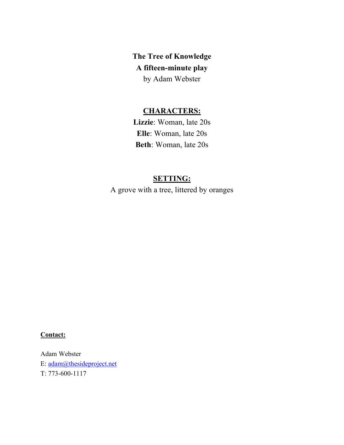**The Tree of Knowledge A fifteen-minute play** by Adam Webster

## **CHARACTERS:**

**Lizzie**: Woman, late 20s **Elle**: Woman, late 20s **Beth**: Woman, late 20s

## **SETTING:**

A grove with a tree, littered by oranges

## **Contact:**

Adam Webster E: adam@thesideproject.net T: 773-600-1117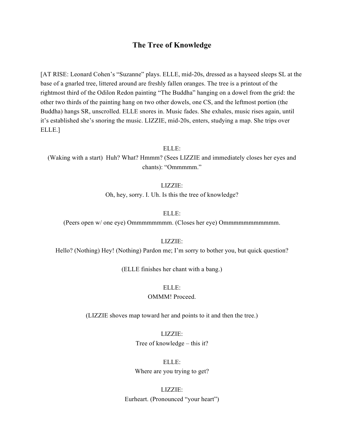## **The Tree of Knowledge**

[AT RISE: Leonard Cohen's "Suzanne" plays. ELLE, mid-20s, dressed as a hayseed sleeps SL at the base of a gnarled tree, littered around are freshly fallen oranges. The tree is a printout of the rightmost third of the Odilon Redon painting "The Buddha" hanging on a dowel from the grid: the other two thirds of the painting hang on two other dowels, one CS, and the leftmost portion (the Buddha) hangs SR, unscrolled. ELLE snores in. Music fades. She exhales, music rises again, until it's established she's snoring the music. LIZZIE, mid-20s, enters, studying a map. She trips over ELLE.]

ELLE:

(Waking with a start) Huh? What? Hmmm? (Sees LIZZIE and immediately closes her eyes and chants): "Ommmmm."

LIZZIE:

Oh, hey, sorry. I. Uh. Is this the tree of knowledge?

ELLE:

(Peers open w/ one eye) Ommmmmmmm. (Closes her eye) Ommmmmmmmmmm.

LIZZIE:

Hello? (Nothing) Hey! (Nothing) Pardon me; I'm sorry to bother you, but quick question?

(ELLE finishes her chant with a bang.)

## ELLE:

OMMM! Proceed.

(LIZZIE shoves map toward her and points to it and then the tree.)

LIZZIE: Tree of knowledge – this it?

ELLE: Where are you trying to get?

LIZZIE: Eurheart. (Pronounced "your heart")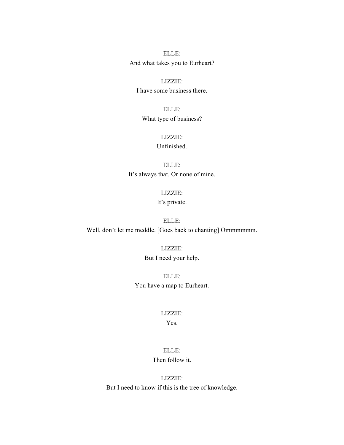ELLE: And what takes you to Eurheart?

LIZZIE: I have some business there.

ELLE: What type of business?

> LIZZIE: Unfinished.

ELLE: It's always that. Or none of mine.

> LIZZIE: It's private.

ELLE: Well, don't let me meddle. [Goes back to chanting] Ommmmmm.

> LIZZIE: But I need your help.

ELLE: You have a map to Eurheart.

### LIZZIE:

## Yes.

## ELLE: Then follow it.

LIZZIE: But I need to know if this is the tree of knowledge.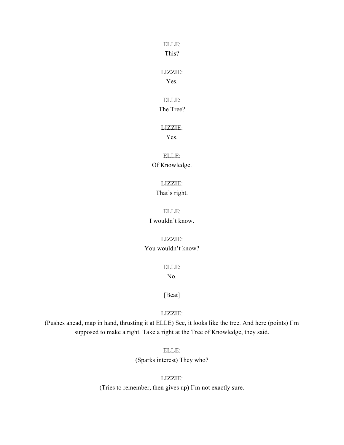This?

LIZZIE:

Yes.

ELLE: The Tree?

LIZZIE:

Yes.

ELLE: Of Knowledge.

> LIZZIE: That's right.

ELLE: I wouldn't know.

LIZZIE: You wouldn't know?

ELLE:

No.

[Beat]

LIZZIE:

(Pushes ahead, map in hand, thrusting it at ELLE) See, it looks like the tree. And here (points) I'm supposed to make a right. Take a right at the Tree of Knowledge, they said.

> ELLE: (Sparks interest) They who?

LIZZIE: (Tries to remember, then gives up) I'm not exactly sure.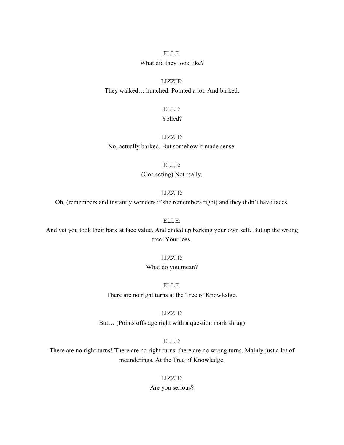### What did they look like?

LIZZIE: They walked… hunched. Pointed a lot. And barked.

ELLE:

## Yelled?

LIZZIE: No, actually barked. But somehow it made sense.

> ELLE: (Correcting) Not really.

### LIZZIE:

Oh, (remembers and instantly wonders if she remembers right) and they didn't have faces.

ELLE:

And yet you took their bark at face value. And ended up barking your own self. But up the wrong tree. Your loss.

### LIZZIE:

What do you mean?

ELLE:

There are no right turns at the Tree of Knowledge.

LIZZIE:

But… (Points offstage right with a question mark shrug)

ELLE:

There are no right turns! There are no right turns, there are no wrong turns. Mainly just a lot of meanderings. At the Tree of Knowledge.

### LIZZIE:

Are you serious?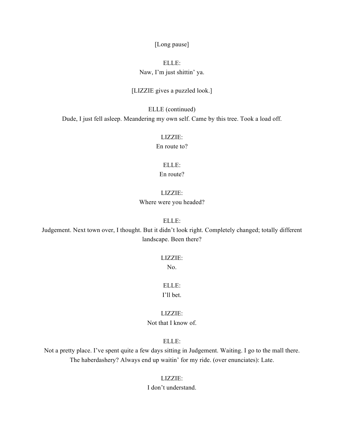[Long pause]

## ELLE: Naw, I'm just shittin' ya.

### [LIZZIE gives a puzzled look.]

ELLE (continued) Dude, I just fell asleep. Meandering my own self. Came by this tree. Took a load off.

> LIZZIE: En route to?

ELLE: En route?

### LIZZIE:

Where were you headed?

ELLE:

Judgement. Next town over, I thought. But it didn't look right. Completely changed; totally different landscape. Been there?

### LIZZIE:

No.

ELLE: I'll bet.

LIZZIE: Not that I know of.

ELLE:

Not a pretty place. I've spent quite a few days sitting in Judgement. Waiting. I go to the mall there. The haberdashery? Always end up waitin' for my ride. (over enunciates): Late.

LIZZIE:

I don't understand.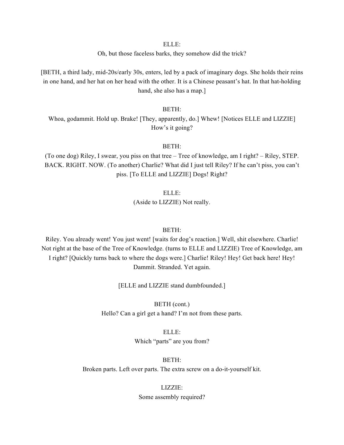Oh, but those faceless barks, they somehow did the trick?

[BETH, a third lady, mid-20s/early 30s, enters, led by a pack of imaginary dogs. She holds their reins in one hand, and her hat on her head with the other. It is a Chinese peasant's hat. In that hat-holding hand, she also has a map.]

### BETH:

Whoa, godammit. Hold up. Brake! [They, apparently, do.] Whew! [Notices ELLE and LIZZIE] How's it going?

### BETH:

(To one dog) Riley, I swear, you piss on that tree – Tree of knowledge, am I right? – Riley, STEP. BACK. RIGHT. NOW. (To another) Charlie? What did I just tell Riley? If he can't piss, you can't piss. [To ELLE and LIZZIE] Dogs! Right?

ELLE:

(Aside to LIZZIE) Not really.

### BETH:

Riley. You already went! You just went! [waits for dog's reaction.] Well, shit elsewhere. Charlie! Not right at the base of the Tree of Knowledge. (turns to ELLE and LIZZIE) Tree of Knowledge, am I right? [Quickly turns back to where the dogs were.] Charlie! Riley! Hey! Get back here! Hey! Dammit. Stranded. Yet again.

[ELLE and LIZZIE stand dumbfounded.]

BETH (cont.) Hello? Can a girl get a hand? I'm not from these parts.

> ELLE: Which "parts" are you from?

BETH:

Broken parts. Left over parts. The extra screw on a do-it-yourself kit.

### LIZZIE:

Some assembly required?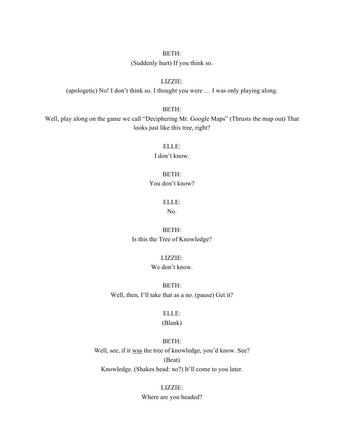### BETH:

(Suddenly hurt) If you think so.

### LIZZIE:

(apologetic) No! I don't think so. I thought you were … I was only playing along.

### BETH:

Well, play along on the game we call "Deciphering Mr. Google Maps" (Thrusts the map out) That looks just like this tree, right?

### ELLE:

I don't know.

### BETH:

You don't know?

### ELLE:

No.

## BETH: Is this the Tree of Knowledge?

### LIZZIE:

## We don't know.

BETH: Well, then, I'll take that as a no. (pause) Get it?

### ELLE:

### (Blank)

### BETH:

Well, see, if it was the tree of knowledge, you'd know. See? (Beat) Knowledge. (Shakes head: no?) It'll come to you later.

> LIZZIE: Where are you headed?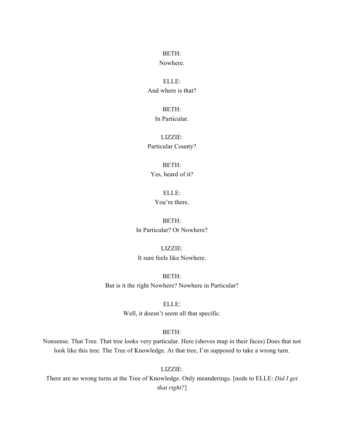BETH: Nowhere.

ELLE: And where is that?

BETH:

In Particular.

LIZZIE: Particular County?

BETH: Yes, heard of it?

ELLE: You're there.

BETH: In Particular? Or Nowhere?

LIZZIE: It sure feels like Nowhere.

BETH: But is it the right Nowhere? Nowhere in Particular?

> ELLE: Well, it doesn't seem all that specific.

## BETH:

Nonsense. That Tree. That tree looks very particular. Here (shoves map in their faces) Does that not look like this tree. The Tree of Knowledge. At that tree, I'm supposed to take a wrong turn.

LIZZIE:

There are no wrong turns at the Tree of Knowledge. Only meanderings. [nods to ELLE: *Did I get that right?*]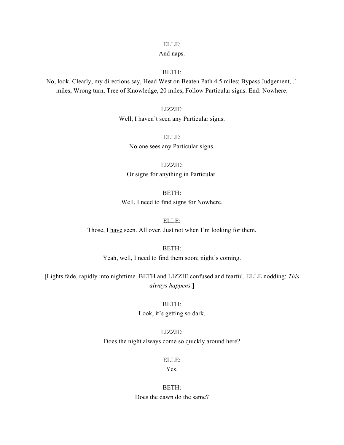### And naps.

## BETH:

No, look. Clearly, my directions say, Head West on Beaten Path 4.5 miles; Bypass Judgement, .1 miles, Wrong turn, Tree of Knowledge, 20 miles, Follow Particular signs. End: Nowhere.

LIZZIE:

Well, I haven't seen any Particular signs.

ELLE: No one sees any Particular signs.

LIZZIE: Or signs for anything in Particular.

BETH:

Well, I need to find signs for Nowhere.

ELLE:

Those, I have seen. All over. Just not when I'm looking for them.

BETH:

Yeah, well, I need to find them soon; night's coming.

[Lights fade, rapidly into nighttime. BETH and LIZZIE confused and fearful. ELLE nodding: *This always happens.*]

> BETH: Look, it's getting so dark.

LIZZIE: Does the night always come so quickly around here?

ELLE:

Yes.

BETH: Does the dawn do the same?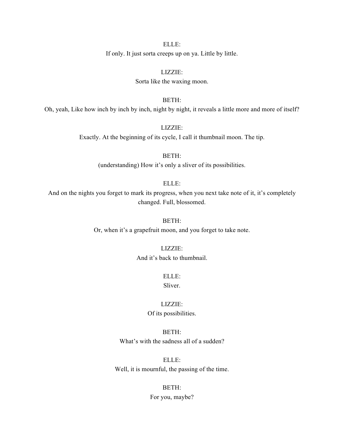If only. It just sorta creeps up on ya. Little by little.

LIZZIE: Sorta like the waxing moon.

BETH:

Oh, yeah, Like how inch by inch by inch, night by night, it reveals a little more and more of itself?

LIZZIE: Exactly. At the beginning of its cycle, I call it thumbnail moon. The tip.

> BETH: (understanding) How it's only a sliver of its possibilities.

> > ELLE:

And on the nights you forget to mark its progress, when you next take note of it, it's completely changed. Full, blossomed.

BETH:

Or, when it's a grapefruit moon, and you forget to take note.

LIZZIE:

And it's back to thumbnail.

ELLE: Sliver.

LIZZIE: Of its possibilities.

BETH: What's with the sadness all of a sudden?

ELLE: Well, it is mournful, the passing of the time.

BETH:

For you, maybe?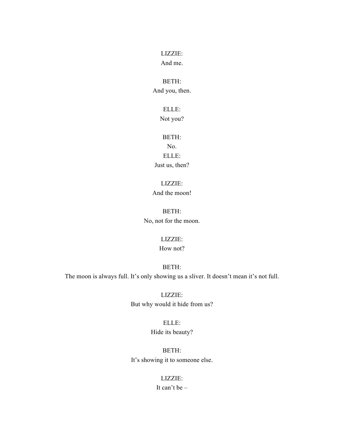LIZZIE:

And me.

## BETH:

And you, then.

## ELLE:

Not you?

## BETH:

No. ELLE: Just us, then?

## LIZZIE:

And the moon!

BETH: No, not for the moon.

## LIZZIE:

How not?

## BETH:

The moon is always full. It's only showing us a sliver. It doesn't mean it's not full.

LIZZIE: But why would it hide from us?

# ELLE:

Hide its beauty?

BETH: It's showing it to someone else.

## LIZZIE:

It can't be –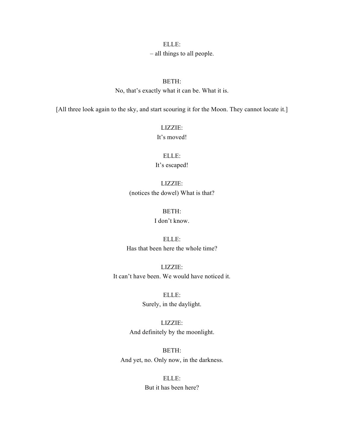### – all things to all people.

### BETH:

No, that's exactly what it can be. What it is.

[All three look again to the sky, and start scouring it for the Moon. They cannot locate it.]

# LIZZIE:

It's moved!

## ELLE: It's escaped!

LIZZIE: (notices the dowel) What is that?

### BETH:

## I don't know.

ELLE: Has that been here the whole time?

LIZZIE: It can't have been. We would have noticed it.

> ELLE: Surely, in the daylight.

LIZZIE: And definitely by the moonlight.

BETH: And yet, no. Only now, in the darkness.

## ELLE: But it has been here?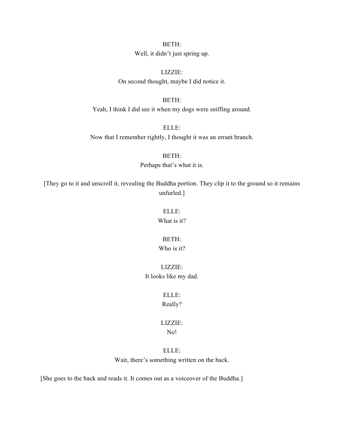BETH:

Well, it didn't just spring up.

LIZZIE: On second thought, maybe I did notice it.

BETH:

Yeah, I think I did see it when my dogs were sniffing around.

ELLE: Now that I remember rightly, I thought it was an errant branch.

> BETH: Perhaps that's what it is.

[They go to it and unscroll it, revealing the Buddha portion. They clip it to the ground so it remains unfurled.]

ELLE:

What is it?

BETH:

Who is it?

LIZZIE: It looks like my dad.

> ELLE: Really?

LIZZIE:

No!

ELLE: Wait, there's something written on the back.

[She goes to the back and reads it. It comes out as a voiceover of the Buddha.]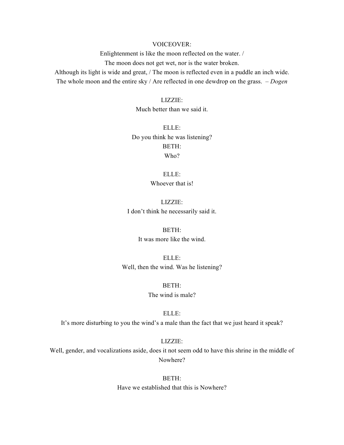### VOICEOVER:

Enlightenment is like the moon reflected on the water. /

The moon does not get wet, nor is the water broken.

Although its light is wide and great, / The moon is reflected even in a puddle an inch wide. The whole moon and the entire sky / Are reflected in one dewdrop on the grass. *– Dogen*

LIZZIE:

Much better than we said it.

ELLE: Do you think he was listening? BETH: Who?

> ELLE: Whoever that is!

LIZZIE: I don't think he necessarily said it.

BETH:

It was more like the wind.

ELLE: Well, then the wind. Was he listening?

> BETH: The wind is male?

> > ELLE:

It's more disturbing to you the wind's a male than the fact that we just heard it speak?

LIZZIE:

Well, gender, and vocalizations aside, does it not seem odd to have this shrine in the middle of Nowhere?

> BETH: Have we established that this is Nowhere?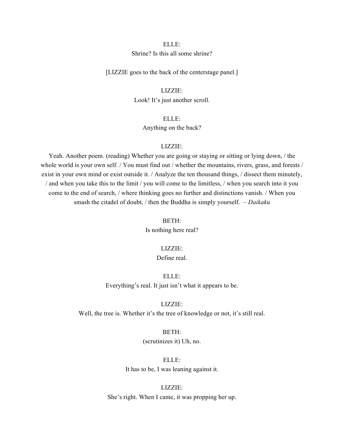### Shrine? Is this all some shrine?

[LIZZIE goes to the back of the centerstage panel.]

LIZZIE: Look! It's just another scroll.

> ELLE: Anything on the back?

### LIZZIE:

Yeah. Another poem. (reading) Whether you are going or staying or sitting or lying down, / the whole world is your own self. / You must find out / whether the mountains, rivers, grass, and forests / exist in your own mind or exist outside it. / Analyze the ten thousand things, / dissect them minutely, / and when you take this to the limit / you will come to the limitless, / when you search into it you come to the end of search, / where thinking goes no further and distinctions vanish. / When you smash the citadel of doubt, / then the Buddha is simply yourself. *– Daikaku*

BETH:

Is nothing here real?

### LIZZIE:

## Define real.

ELLE: Everything's real. It just isn't what it appears to be.

LIZZIE:

Well, the tree is. Whether it's the tree of knowledge or not, it's still real.

## BETH:

(scrutinizes it) Uh, no.

ELLE:

It has to be, I was leaning against it.

LIZZIE: She's right. When I came, it was propping her up.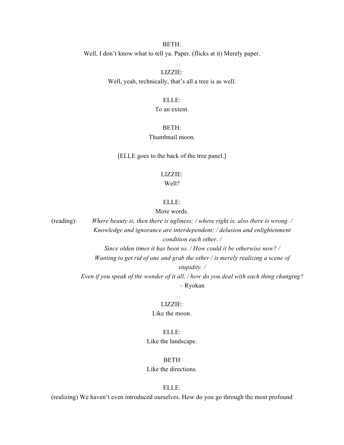### BETH:

Well, I don't know what to tell ya. Paper. (flicks at it) Merely paper.

LIZZIE: Well, yeah, technically, that's all a tree is as well.

### ELLE:

### To an extent.

### BETH:

## Thumbnail moon.

[ELLE goes to the back of the tree panel.]

## LIZZIE:

### Well?

### ELLE:

### More words.

(reading): *Where beauty is, then there is ugliness; / where right is, also there is wrong. / Knowledge and ignorance are interdependent; / delusion and enlightenment condition each other. / Since olden times it has been so. / How could it be otherwise now? / Wanting to get rid of one and grab the other / is merely realizing a scene of stupidity. / Even if you speak of the wonder of it all, / how do you deal with each thing changing? –* Ryokan

## LIZZIE:

Like the moon.

## ELLE: Like the landscape.

### BETH

### Like the directions.

ELLE:

(realizing) We haven't even introduced ourselves. How do you go through the most profound